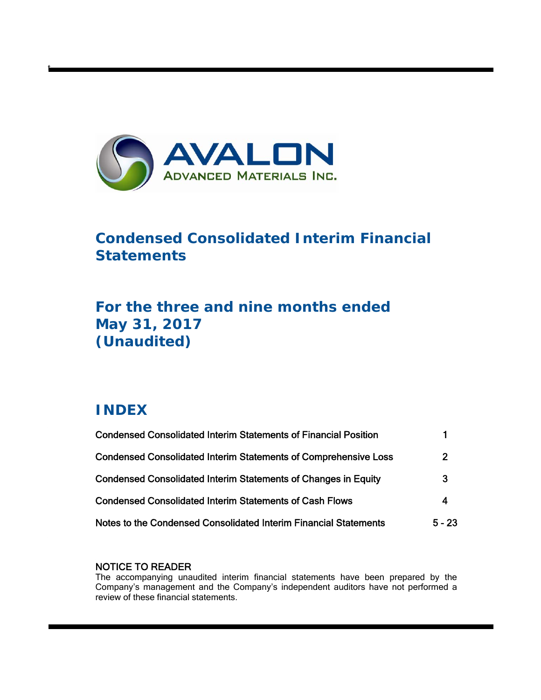

# **Condensed Consolidated Interim Financial Statements**

# **For the three and nine months ended May 31, 2017 (Unaudited)**

# **INDEX**

t

| <b>Condensed Consolidated Interim Statements of Financial Position</b> |                |
|------------------------------------------------------------------------|----------------|
| <b>Condensed Consolidated Interim Statements of Comprehensive Loss</b> | $\overline{2}$ |
| <b>Condensed Consolidated Interim Statements of Changes in Equity</b>  | 3              |
| <b>Condensed Consolidated Interim Statements of Cash Flows</b>         | 4              |
| Notes to the Condensed Consolidated Interim Financial Statements       | $5 - 23$       |

## NOTICE TO READER

The accompanying unaudited interim financial statements have been prepared by the Company's management and the Company's independent auditors have not performed a review of these financial statements.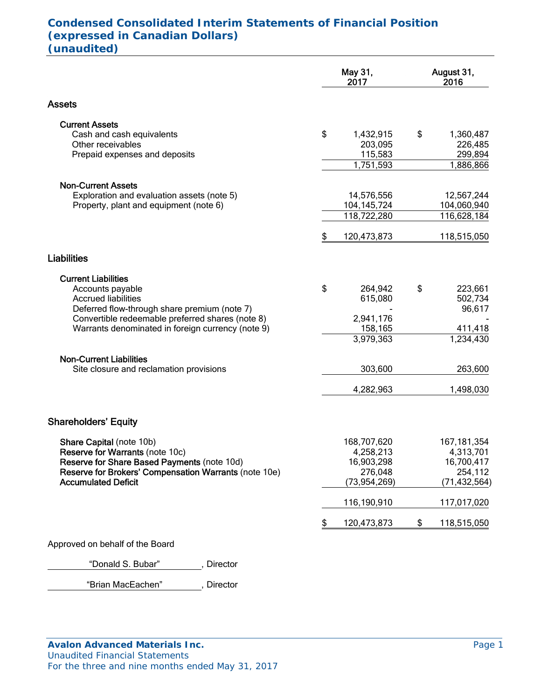# **Condensed Consolidated Interim Statements of Financial Position (expressed in Canadian Dollars) (unaudited)**

|                                                                                                       | May 31,<br>2017         | August 31,<br>2016        |
|-------------------------------------------------------------------------------------------------------|-------------------------|---------------------------|
| <b>Assets</b>                                                                                         |                         |                           |
| <b>Current Assets</b>                                                                                 |                         |                           |
| Cash and cash equivalents                                                                             | \$<br>1,432,915         | \$<br>1,360,487           |
| Other receivables                                                                                     | 203,095                 | 226,485                   |
| Prepaid expenses and deposits                                                                         | 115,583<br>1,751,593    | 299,894<br>1,886,866      |
|                                                                                                       |                         |                           |
| <b>Non-Current Assets</b><br>Exploration and evaluation assets (note 5)                               | 14,576,556              | 12,567,244                |
| Property, plant and equipment (note 6)                                                                | 104, 145, 724           | 104,060,940               |
|                                                                                                       | 118,722,280             | 116,628,184               |
|                                                                                                       | \$<br>120,473,873       | 118,515,050               |
| <b>Liabilities</b>                                                                                    |                         |                           |
| <b>Current Liabilities</b>                                                                            |                         |                           |
| Accounts payable                                                                                      | \$<br>264,942           | \$<br>223,661             |
| <b>Accrued liabilities</b>                                                                            | 615,080                 | 502,734                   |
| Deferred flow-through share premium (note 7)                                                          |                         | 96,617                    |
| Convertible redeemable preferred shares (note 8)<br>Warrants denominated in foreign currency (note 9) | 2,941,176<br>158,165    | 411,418                   |
|                                                                                                       | 3,979,363               | 1,234,430                 |
| <b>Non-Current Liabilities</b>                                                                        |                         |                           |
| Site closure and reclamation provisions                                                               | 303,600                 | 263,600                   |
|                                                                                                       | 4,282,963               | 1,498,030                 |
|                                                                                                       |                         |                           |
| <b>Shareholders' Equity</b>                                                                           |                         |                           |
| Share Capital (note 10b)                                                                              | 168,707,620             | 167, 181, 354             |
| Reserve for Warrants (note 10c)                                                                       | 4,258,213               | 4,313,701                 |
| Reserve for Share Based Payments (note 10d)                                                           | 16,903,298              | 16,700,417                |
| Reserve for Brokers' Compensation Warrants (note 10e)<br><b>Accumulated Deficit</b>                   | 276,048<br>(73.954.269) | 254,112<br>(71, 432, 564) |
|                                                                                                       | 116,190,910             | 117,017,020               |
|                                                                                                       | \$<br>120,473,873       | \$<br>118,515,050         |
| Approved on behalf of the Board                                                                       |                         |                           |
|                                                                                                       |                         |                           |

"Donald S. Bubar", Director

"Brian MacEachen" , Director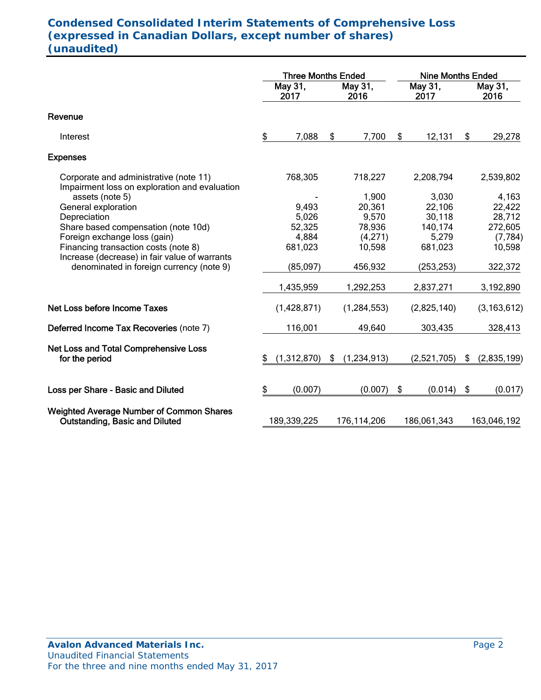# **Condensed Consolidated Interim Statements of Comprehensive Loss (expressed in Canadian Dollars, except number of shares) (unaudited)**

|                                                                                          |    | <b>Three Months Ended</b> |    |                 |     | <b>Nine Months Ended</b> |    |                 |  |  |
|------------------------------------------------------------------------------------------|----|---------------------------|----|-----------------|-----|--------------------------|----|-----------------|--|--|
|                                                                                          |    | May 31,<br>2017           |    | May 31,<br>2016 |     | May 31,<br>2017          |    | May 31,<br>2016 |  |  |
| Revenue                                                                                  |    |                           |    |                 |     |                          |    |                 |  |  |
| Interest                                                                                 | \$ | 7,088                     | \$ | 7,700           | \$. | 12,131                   | \$ | 29,278          |  |  |
| <b>Expenses</b>                                                                          |    |                           |    |                 |     |                          |    |                 |  |  |
| Corporate and administrative (note 11)<br>Impairment loss on exploration and evaluation  |    | 768,305                   |    | 718,227         |     | 2,208,794                |    | 2,539,802       |  |  |
| assets (note 5)                                                                          |    |                           |    | 1,900           |     | 3,030                    |    | 4,163           |  |  |
| General exploration                                                                      |    | 9,493                     |    | 20,361          |     | 22,106                   |    | 22,422          |  |  |
| Depreciation                                                                             |    | 5,026                     |    | 9,570           |     | 30,118                   |    | 28,712          |  |  |
| Share based compensation (note 10d)                                                      |    | 52,325                    |    | 78,936          |     | 140,174                  |    | 272,605         |  |  |
| Foreign exchange loss (gain)                                                             |    | 4,884                     |    | (4,271)         |     | 5,279                    |    | (7, 784)        |  |  |
| Financing transaction costs (note 8)<br>Increase (decrease) in fair value of warrants    |    | 681,023                   |    | 10,598          |     | 681,023                  |    | 10,598          |  |  |
| denominated in foreign currency (note 9)                                                 |    | (85,097)                  |    | 456,932         |     | (253, 253)               |    | 322,372         |  |  |
|                                                                                          |    | 1,435,959                 |    | 1,292,253       |     | 2,837,271                |    | 3,192,890       |  |  |
| Net Loss before Income Taxes                                                             |    | (1,428,871)               |    | (1, 284, 553)   |     | (2,825,140)              |    | (3, 163, 612)   |  |  |
| Deferred Income Tax Recoveries (note 7)                                                  |    | 116,001                   |    | 49,640          |     | 303,435                  |    | 328,413         |  |  |
|                                                                                          |    |                           |    |                 |     |                          |    |                 |  |  |
| Net Loss and Total Comprehensive Loss<br>for the period                                  | S  | (1,312,870)               | \$ | (1,234,913)     |     | (2,521,705)              | \$ | (2,835,199)     |  |  |
|                                                                                          |    |                           |    |                 |     |                          |    |                 |  |  |
| Loss per Share - Basic and Diluted                                                       | \$ | (0.007)                   |    | (0.007)         | \$  | (0.014)                  | \$ | (0.017)         |  |  |
| <b>Weighted Average Number of Common Shares</b><br><b>Outstanding, Basic and Diluted</b> |    | 189,339,225               |    | 176,114,206     |     | 186,061,343              |    | 163,046,192     |  |  |
|                                                                                          |    |                           |    |                 |     |                          |    |                 |  |  |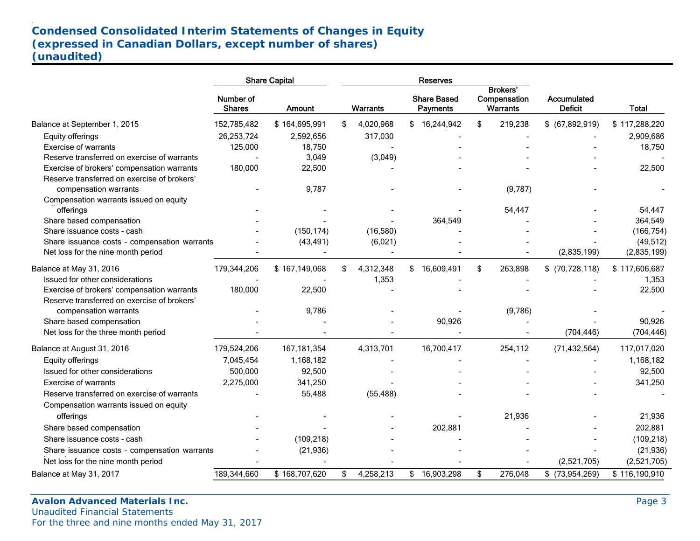# **Condensed Consolidated Interim Statements of Changes in Equity (expressed in Canadian Dollars, except number of shares) (unaudited)**

|                                              |                            | <b>Share Capital</b> | Reserves        |    |                                       |    |                                                    |                               |               |
|----------------------------------------------|----------------------------|----------------------|-----------------|----|---------------------------------------|----|----------------------------------------------------|-------------------------------|---------------|
|                                              | Number of<br><b>Shares</b> | <b>Amount</b>        | <b>Warrants</b> |    | <b>Share Based</b><br><b>Payments</b> |    | <b>Brokers'</b><br>Compensation<br><b>Warrants</b> | Accumulated<br><b>Deficit</b> | <b>Total</b>  |
| Balance at September 1, 2015                 | 152,785,482                | \$164,695,991        | \$<br>4,020,968 |    | \$16,244,942                          | \$ | 219,238                                            | $$$ (67,892,919)              | \$117,288,220 |
| Equity offerings                             | 26,253,724                 | 2,592,656            | 317,030         |    |                                       |    |                                                    |                               | 2,909,686     |
| <b>Exercise of warrants</b>                  | 125,000                    | 18,750               |                 |    |                                       |    |                                                    |                               | 18,750        |
| Reserve transferred on exercise of warrants  |                            | 3,049                | (3,049)         |    |                                       |    |                                                    |                               |               |
| Exercise of brokers' compensation warrants   | 180,000                    | 22,500               |                 |    |                                       |    |                                                    |                               | 22,500        |
| Reserve transferred on exercise of brokers'  |                            |                      |                 |    |                                       |    |                                                    |                               |               |
| compensation warrants                        |                            | 9,787                |                 |    |                                       |    | (9,787)                                            |                               |               |
| Compensation warrants issued on equity       |                            |                      |                 |    |                                       |    |                                                    |                               |               |
| offerings                                    |                            |                      |                 |    |                                       |    | 54,447                                             |                               | 54,447        |
| Share based compensation                     |                            |                      |                 |    | 364,549                               |    |                                                    |                               | 364,549       |
| Share issuance costs - cash                  |                            | (150, 174)           | (16,580)        |    |                                       |    |                                                    |                               | (166, 754)    |
| Share issuance costs - compensation warrants |                            | (43, 491)            | (6,021)         |    |                                       |    |                                                    |                               | (49, 512)     |
| Net loss for the nine month period           |                            |                      |                 |    |                                       |    |                                                    | (2,835,199)                   | (2,835,199)   |
| Balance at May 31, 2016                      | 179,344,206                | \$167,149,068        | \$<br>4,312,348 |    | \$16,609,491                          | \$ | 263,898                                            | $$$ (70,728,118)              | \$117,606,687 |
| Issued for other considerations              |                            |                      | 1,353           |    |                                       |    |                                                    |                               | 1,353         |
| Exercise of brokers' compensation warrants   | 180,000                    | 22,500               |                 |    |                                       |    |                                                    |                               | 22,500        |
| Reserve transferred on exercise of brokers'  |                            |                      |                 |    |                                       |    |                                                    |                               |               |
| compensation warrants                        |                            | 9,786                |                 |    |                                       |    | (9,786)                                            |                               |               |
| Share based compensation                     |                            |                      |                 |    | 90,926                                |    |                                                    |                               | 90,926        |
| Net loss for the three month period          |                            |                      |                 |    |                                       |    |                                                    | (704, 446)                    | (704, 446)    |
| Balance at August 31, 2016                   | 179,524,206                | 167, 181, 354        | 4,313,701       |    | 16,700,417                            |    | 254,112                                            | (71, 432, 564)                | 117,017,020   |
| Equity offerings                             | 7,045,454                  | 1,168,182            |                 |    |                                       |    |                                                    |                               | 1,168,182     |
| Issued for other considerations              | 500,000                    | 92,500               |                 |    |                                       |    |                                                    |                               | 92,500        |
| Exercise of warrants                         | 2,275,000                  | 341,250              |                 |    |                                       |    |                                                    |                               | 341,250       |
| Reserve transferred on exercise of warrants  |                            | 55,488               | (55, 488)       |    |                                       |    |                                                    |                               |               |
| Compensation warrants issued on equity       |                            |                      |                 |    |                                       |    |                                                    |                               |               |
| offerings                                    |                            |                      |                 |    |                                       |    | 21,936                                             |                               | 21,936        |
| Share based compensation                     |                            |                      |                 |    | 202,881                               |    |                                                    |                               | 202,881       |
| Share issuance costs - cash                  |                            | (109, 218)           |                 |    |                                       |    |                                                    |                               | (109, 218)    |
| Share issuance costs - compensation warrants |                            | (21, 936)            |                 |    |                                       |    |                                                    |                               | (21, 936)     |
| Net loss for the nine month period           |                            |                      |                 |    |                                       |    |                                                    | (2,521,705)                   | (2,521,705)   |
| Balance at May 31, 2017                      | 189,344,660                | \$168,707,620        | \$<br>4,258,213 | \$ | 16,903,298                            | \$ | 276,048                                            | $$$ (73,954,269)              | \$116,190,910 |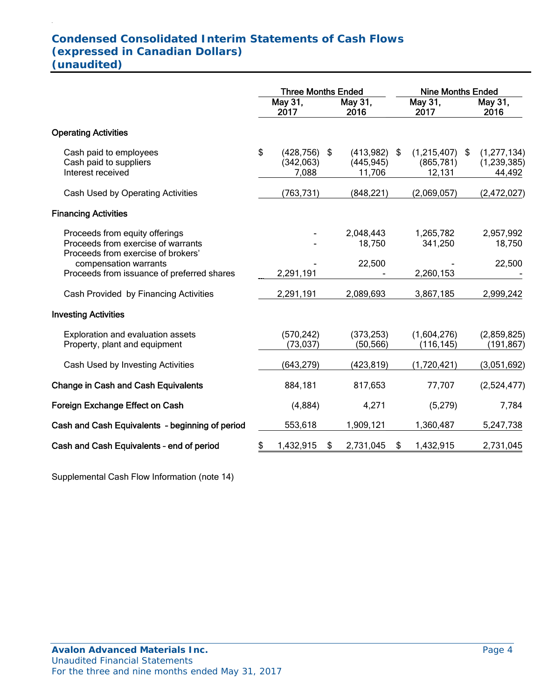# **Condensed Consolidated Interim Statements of Cash Flows (expressed in Canadian Dollars) (unaudited)**

.

|                                                                                                            | <b>Three Months Ended</b>                   |    |                                        | <b>Nine Months Ended</b> |                                          |  |                                          |
|------------------------------------------------------------------------------------------------------------|---------------------------------------------|----|----------------------------------------|--------------------------|------------------------------------------|--|------------------------------------------|
|                                                                                                            | May 31,<br>2017                             |    | May 31,<br>2016                        |                          | May 31,<br>2017                          |  | May 31,<br>2016                          |
| <b>Operating Activities</b>                                                                                |                                             |    |                                        |                          |                                          |  |                                          |
| Cash paid to employees<br>Cash paid to suppliers<br>Interest received                                      | \$<br>$(428, 756)$ \$<br>(342,063)<br>7,088 |    | $(413,982)$ \$<br>(445, 945)<br>11,706 |                          | $(1,215,407)$ \$<br>(865, 781)<br>12,131 |  | (1, 277, 134)<br>(1, 239, 385)<br>44,492 |
| Cash Used by Operating Activities                                                                          | (763, 731)                                  |    | (848, 221)                             |                          | (2,069,057)                              |  | (2,472,027)                              |
| <b>Financing Activities</b>                                                                                |                                             |    |                                        |                          |                                          |  |                                          |
| Proceeds from equity offerings<br>Proceeds from exercise of warrants<br>Proceeds from exercise of brokers' |                                             |    | 2,048,443<br>18,750                    |                          | 1,265,782<br>341,250                     |  | 2,957,992<br>18,750                      |
| compensation warrants<br>Proceeds from issuance of preferred shares                                        | 2,291,191                                   |    | 22,500                                 |                          | 2,260,153                                |  | 22,500                                   |
| Cash Provided by Financing Activities                                                                      | 2,291,191                                   |    | 2,089,693                              |                          | 3,867,185                                |  | 2,999,242                                |
| <b>Investing Activities</b>                                                                                |                                             |    |                                        |                          |                                          |  |                                          |
| Exploration and evaluation assets<br>Property, plant and equipment                                         | (570, 242)<br>(73, 037)                     |    | (373, 253)<br>(50, 566)                |                          | (1,604,276)<br>(116, 145)                |  | (2,859,825)<br>(191,867)                 |
| Cash Used by Investing Activities                                                                          | (643, 279)                                  |    | (423, 819)                             |                          | (1,720,421)                              |  | (3,051,692)                              |
| <b>Change in Cash and Cash Equivalents</b>                                                                 | 884,181                                     |    | 817,653                                |                          | 77,707                                   |  | (2,524,477)                              |
| Foreign Exchange Effect on Cash                                                                            | (4,884)                                     |    | 4,271                                  |                          | (5, 279)                                 |  | 7,784                                    |
| Cash and Cash Equivalents - beginning of period                                                            | 553,618                                     |    | 1,909,121                              |                          | 1,360,487                                |  | 5,247,738                                |
| Cash and Cash Equivalents - end of period                                                                  | \$<br>1,432,915                             | \$ | 2,731,045                              | \$                       | 1,432,915                                |  | 2,731,045                                |

Supplemental Cash Flow Information (note 14)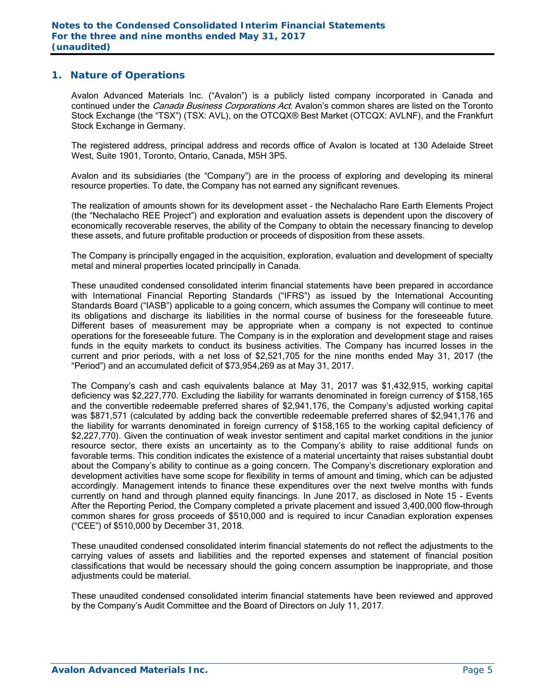### **1. Nature of Operations**

Avalon Advanced Materials Inc. ("Avalon") is a publicly listed company incorporated in Canada and continued under the *Canada Business Corporations Act*. Avalon's common shares are listed on the Toronto Stock Exchange (the "TSX") (TSX: AVL), on the OTCQX® Best Market (OTCQX: AVLNF), and the Frankfurt Stock Exchange in Germany.

The registered address, principal address and records office of Avalon is located at 130 Adelaide Street West, Suite 1901, Toronto, Ontario, Canada, M5H 3P5.

Avalon and its subsidiaries (the "Company") are in the process of exploring and developing its mineral resource properties. To date, the Company has not earned any significant revenues.

The realization of amounts shown for its development asset – the Nechalacho Rare Earth Elements Project (the "Nechalacho REE Project") and exploration and evaluation assets is dependent upon the discovery of economically recoverable reserves, the ability of the Company to obtain the necessary financing to develop these assets, and future profitable production or proceeds of disposition from these assets.

The Company is principally engaged in the acquisition, exploration, evaluation and development of specialty metal and mineral properties located principally in Canada.

These unaudited condensed consolidated interim financial statements have been prepared in accordance with International Financial Reporting Standards ("IFRS") as issued by the International Accounting Standards Board ("IASB") applicable to a going concern, which assumes the Company will continue to meet its obligations and discharge its liabilities in the normal course of business for the foreseeable future. Different bases of measurement may be appropriate when a company is not expected to continue operations for the foreseeable future. The Company is in the exploration and development stage and raises funds in the equity markets to conduct its business activities. The Company has incurred losses in the current and prior periods, with a net loss of \$2,521,705 for the nine months ended May 31, 2017 (the "Period") and an accumulated deficit of \$73,954,269 as at May 31, 2017.

The Company's cash and cash equivalents balance at May 31, 2017 was \$1,432,915, working capital deficiency was \$2,227,770. Excluding the liability for warrants denominated in foreign currency of \$158,165 and the convertible redeemable preferred shares of \$2,941,176, the Company's adjusted working capital was \$871,571 (calculated by adding back the convertible redeemable preferred shares of \$2,941,176 and the liability for warrants denominated in foreign currency of \$158,165 to the working capital deficiency of \$2,227,770). Given the continuation of weak investor sentiment and capital market conditions in the junior resource sector, there exists an uncertainty as to the Company's ability to raise additional funds on favorable terms. This condition indicates the existence of a material uncertainty that raises substantial doubt about the Company's ability to continue as a going concern. The Company's discretionary exploration and development activities have some scope for flexibility in terms of amount and timing, which can be adjusted accordingly. Management intends to finance these expenditures over the next twelve months with funds currently on hand and through planned equity financings. In June 2017, as disclosed in Note 15 - Events After the Reporting Period, the Company completed a private placement and issued 3,400,000 flow-through common shares for gross proceeds of \$510,000 and is required to incur Canadian exploration expenses ("CEE") of \$510,000 by December 31, 2018.

These unaudited condensed consolidated interim financial statements do not reflect the adjustments to the carrying values of assets and liabilities and the reported expenses and statement of financial position classifications that would be necessary should the going concern assumption be inappropriate, and those adjustments could be material.

These unaudited condensed consolidated interim financial statements have been reviewed and approved by the Company's Audit Committee and the Board of Directors on July 11, 2017.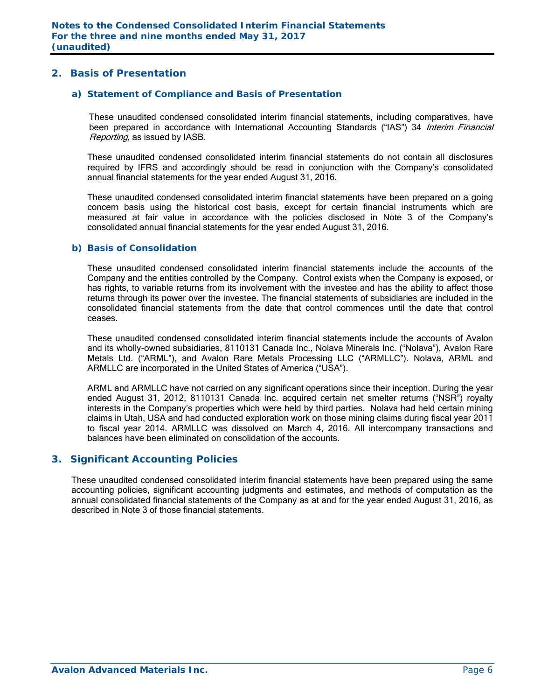## **2. Basis of Presentation**

#### *a) Statement of Compliance and Basis of Presentation*

These unaudited condensed consolidated interim financial statements, including comparatives, have been prepared in accordance with International Accounting Standards ("IAS") 34 Interim Financial Reporting, as issued by IASB.

These unaudited condensed consolidated interim financial statements do not contain all disclosures required by IFRS and accordingly should be read in conjunction with the Company's consolidated annual financial statements for the year ended August 31, 2016.

These unaudited condensed consolidated interim financial statements have been prepared on a going concern basis using the historical cost basis, except for certain financial instruments which are measured at fair value in accordance with the policies disclosed in Note 3 of the Company's consolidated annual financial statements for the year ended August 31, 2016.

#### *b) Basis of Consolidation*

These unaudited condensed consolidated interim financial statements include the accounts of the Company and the entities controlled by the Company. Control exists when the Company is exposed, or has rights, to variable returns from its involvement with the investee and has the ability to affect those returns through its power over the investee. The financial statements of subsidiaries are included in the consolidated financial statements from the date that control commences until the date that control ceases.

These unaudited condensed consolidated interim financial statements include the accounts of Avalon and its wholly-owned subsidiaries, 8110131 Canada Inc., Nolava Minerals Inc. ("Nolava"), Avalon Rare Metals Ltd. ("ARML"), and Avalon Rare Metals Processing LLC ("ARMLLC"). Nolava, ARML and ARMLLC are incorporated in the United States of America ("USA").

ARML and ARMLLC have not carried on any significant operations since their inception. During the year ended August 31, 2012, 8110131 Canada Inc. acquired certain net smelter returns ("NSR") royalty interests in the Company's properties which were held by third parties. Nolava had held certain mining claims in Utah, USA and had conducted exploration work on those mining claims during fiscal year 2011 to fiscal year 2014. ARMLLC was dissolved on March 4, 2016. All intercompany transactions and balances have been eliminated on consolidation of the accounts.

### **3. Significant Accounting Policies**

These unaudited condensed consolidated interim financial statements have been prepared using the same accounting policies, significant accounting judgments and estimates, and methods of computation as the annual consolidated financial statements of the Company as at and for the year ended August 31, 2016, as described in Note 3 of those financial statements.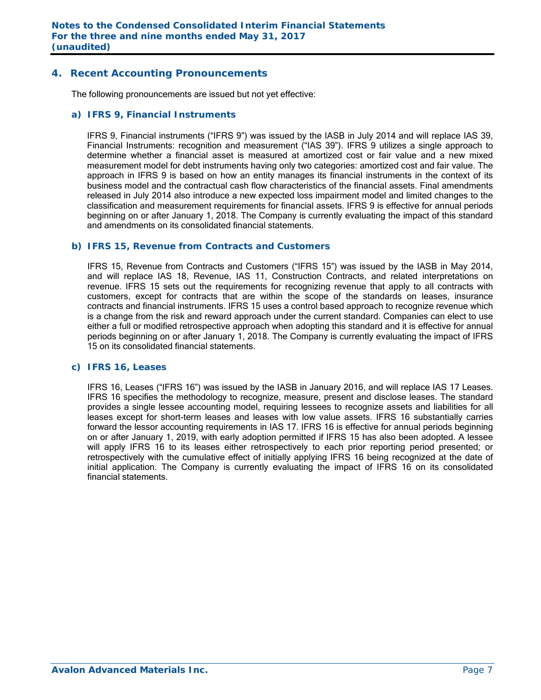## **4. Recent Accounting Pronouncements**

The following pronouncements are issued but not yet effective:

#### *a) IFRS 9, Financial Instruments*

IFRS 9, Financial instruments ("IFRS 9") was issued by the IASB in July 2014 and will replace IAS 39, Financial Instruments: recognition and measurement ("IAS 39"). IFRS 9 utilizes a single approach to determine whether a financial asset is measured at amortized cost or fair value and a new mixed measurement model for debt instruments having only two categories: amortized cost and fair value. The approach in IFRS 9 is based on how an entity manages its financial instruments in the context of its business model and the contractual cash flow characteristics of the financial assets. Final amendments released in July 2014 also introduce a new expected loss impairment model and limited changes to the classification and measurement requirements for financial assets. IFRS 9 is effective for annual periods beginning on or after January 1, 2018. The Company is currently evaluating the impact of this standard and amendments on its consolidated financial statements.

#### *b) IFRS 15, Revenue from Contracts and Customers*

IFRS 15, Revenue from Contracts and Customers ("IFRS 15") was issued by the IASB in May 2014, and will replace IAS 18, Revenue, IAS 11, Construction Contracts, and related interpretations on revenue. IFRS 15 sets out the requirements for recognizing revenue that apply to all contracts with customers, except for contracts that are within the scope of the standards on leases, insurance contracts and financial instruments. IFRS 15 uses a control based approach to recognize revenue which is a change from the risk and reward approach under the current standard. Companies can elect to use either a full or modified retrospective approach when adopting this standard and it is effective for annual periods beginning on or after January 1, 2018. The Company is currently evaluating the impact of IFRS 15 on its consolidated financial statements.

### *c) IFRS 16, Leases*

 IFRS 16, Leases ("IFRS 16") was issued by the IASB in January 2016, and will replace IAS 17 Leases. IFRS 16 specifies the methodology to recognize, measure, present and disclose leases. The standard provides a single lessee accounting model, requiring lessees to recognize assets and liabilities for all leases except for short-term leases and leases with low value assets. IFRS 16 substantially carries forward the lessor accounting requirements in IAS 17. IFRS 16 is effective for annual periods beginning on or after January 1, 2019, with early adoption permitted if IFRS 15 has also been adopted. A lessee will apply IFRS 16 to its leases either retrospectively to each prior reporting period presented; or retrospectively with the cumulative effect of initially applying IFRS 16 being recognized at the date of initial application. The Company is currently evaluating the impact of IFRS 16 on its consolidated financial statements.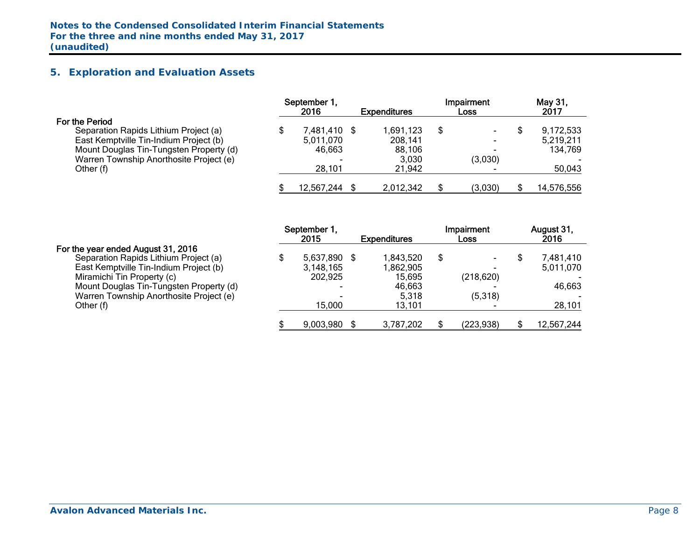## **5. Exploration and Evaluation Assets**

|                                         | September 1.<br>2016 | <b>Expenditures</b> | Impairment<br><b>Loss</b> | May 31,<br>2017 |
|-----------------------------------------|----------------------|---------------------|---------------------------|-----------------|
| For the Period                          |                      |                     |                           |                 |
| Separation Rapids Lithium Project (a)   | 7,481,410 \$         | 1,691,123           | \$                        | 9,172,533       |
| East Kemptville Tin-Indium Project (b)  | 5,011,070            | 208,141             |                           | 5,219,211       |
| Mount Douglas Tin-Tungsten Property (d) | 46,663               | 88,106              |                           | 134,769         |
| Warren Township Anorthosite Project (e) | -                    | 3,030               | (3,030)                   |                 |
| Other (f)                               | 28,101               | 21,942              |                           | 50,043          |
|                                         | 12,567,244           | 2,012,342           | (3,030)                   | 14,576,556      |

#### For the year ended August 31, 2016

|                                         | September 1,<br>2015 | <b>Expenditures</b> | Impairment<br>Loss | August 31,<br>2016 |
|-----------------------------------------|----------------------|---------------------|--------------------|--------------------|
| For the year ended August 31, 2016      |                      |                     |                    |                    |
| Separation Rapids Lithium Project (a)   | 5,637,890            | 1,843,520           | \$                 | 7,481,410          |
| East Kemptville Tin-Indium Project (b)  | 3,148,165            | 1,862,905           |                    | 5,011,070          |
| Miramichi Tin Property (c)              | 202,925              | 15,695              | (218, 620)         |                    |
| Mount Douglas Tin-Tungsten Property (d) | -                    | 46.663              |                    | 46,663             |
| Warren Township Anorthosite Project (e) | -                    | 5,318               | (5,318)            |                    |
| Other (f)                               | 15.000               | 13.101              |                    | 28,101             |
|                                         | 9,003,980            | 3,787,202           | (223,938)          | 12,567,244         |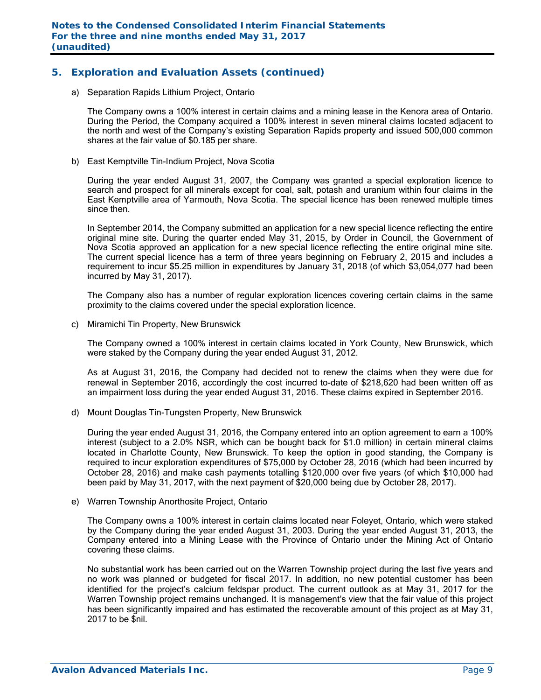## **5. Exploration and Evaluation Assets (continued)**

a) Separation Rapids Lithium Project, Ontario

The Company owns a 100% interest in certain claims and a mining lease in the Kenora area of Ontario. During the Period, the Company acquired a 100% interest in seven mineral claims located adjacent to the north and west of the Company's existing Separation Rapids property and issued 500,000 common shares at the fair value of \$0.185 per share.

b) East Kemptville Tin-Indium Project, Nova Scotia

During the year ended August 31, 2007, the Company was granted a special exploration licence to search and prospect for all minerals except for coal, salt, potash and uranium within four claims in the East Kemptville area of Yarmouth, Nova Scotia. The special licence has been renewed multiple times since then.

In September 2014, the Company submitted an application for a new special licence reflecting the entire original mine site. During the quarter ended May 31, 2015, by Order in Council, the Government of Nova Scotia approved an application for a new special licence reflecting the entire original mine site. The current special licence has a term of three years beginning on February 2, 2015 and includes a requirement to incur \$5.25 million in expenditures by January 31, 2018 (of which \$3,054,077 had been incurred by May 31, 2017).

The Company also has a number of regular exploration licences covering certain claims in the same proximity to the claims covered under the special exploration licence.

c) Miramichi Tin Property, New Brunswick

The Company owned a 100% interest in certain claims located in York County, New Brunswick, which were staked by the Company during the year ended August 31, 2012.

As at August 31, 2016, the Company had decided not to renew the claims when they were due for renewal in September 2016, accordingly the cost incurred to-date of \$218,620 had been written off as an impairment loss during the year ended August 31, 2016. These claims expired in September 2016.

d) Mount Douglas Tin-Tungsten Property, New Brunswick

During the year ended August 31, 2016, the Company entered into an option agreement to earn a 100% interest (subject to a 2.0% NSR, which can be bought back for \$1.0 million) in certain mineral claims located in Charlotte County, New Brunswick. To keep the option in good standing, the Company is required to incur exploration expenditures of \$75,000 by October 28, 2016 (which had been incurred by October 28, 2016) and make cash payments totalling \$120,000 over five years (of which \$10,000 had been paid by May 31, 2017, with the next payment of \$20,000 being due by October 28, 2017).

e) Warren Township Anorthosite Project, Ontario

The Company owns a 100% interest in certain claims located near Foleyet, Ontario, which were staked by the Company during the year ended August 31, 2003. During the year ended August 31, 2013, the Company entered into a Mining Lease with the Province of Ontario under the Mining Act of Ontario covering these claims.

No substantial work has been carried out on the Warren Township project during the last five years and no work was planned or budgeted for fiscal 2017. In addition, no new potential customer has been identified for the project's calcium feldspar product. The current outlook as at May 31, 2017 for the Warren Township project remains unchanged. It is management's view that the fair value of this project has been significantly impaired and has estimated the recoverable amount of this project as at May 31, 2017 to be \$nil.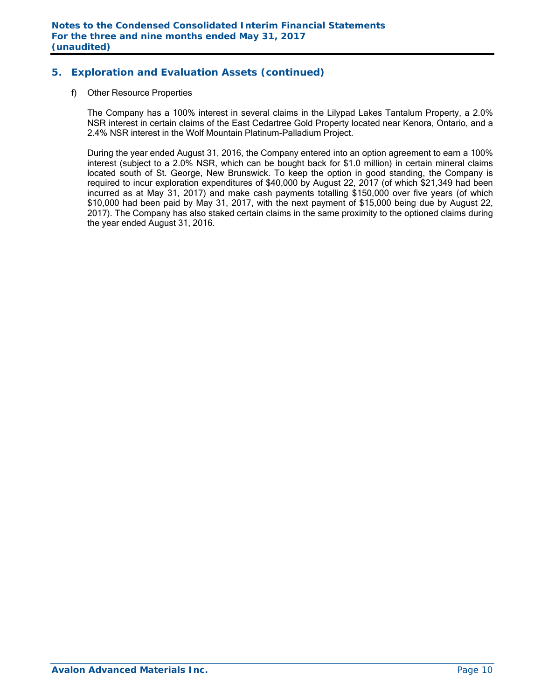## **5. Exploration and Evaluation Assets (continued)**

#### f) Other Resource Properties

The Company has a 100% interest in several claims in the Lilypad Lakes Tantalum Property, a 2.0% NSR interest in certain claims of the East Cedartree Gold Property located near Kenora, Ontario, and a 2.4% NSR interest in the Wolf Mountain Platinum-Palladium Project.

During the year ended August 31, 2016, the Company entered into an option agreement to earn a 100% interest (subject to a 2.0% NSR, which can be bought back for \$1.0 million) in certain mineral claims located south of St. George, New Brunswick. To keep the option in good standing, the Company is required to incur exploration expenditures of \$40,000 by August 22, 2017 (of which \$21,349 had been incurred as at May 31, 2017) and make cash payments totalling \$150,000 over five years (of which \$10,000 had been paid by May 31, 2017, with the next payment of \$15,000 being due by August 22, 2017). The Company has also staked certain claims in the same proximity to the optioned claims during the year ended August 31, 2016.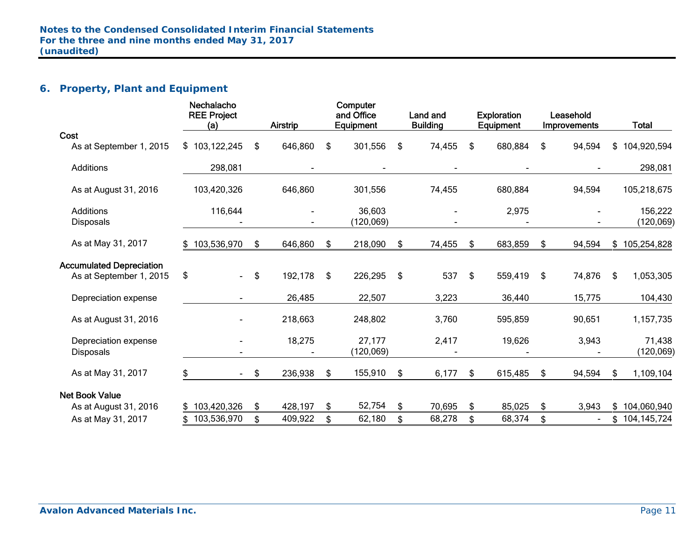## **6. Property, Plant and Equipment**

|                                                            | Nechalacho<br><b>REE Project</b><br>(a) |     | Airstrip | Computer<br>and Office<br>Equipment | Land and<br><b>Building</b> |     | <b>Exploration</b><br>Equipment | Leasehold<br>Improvements | <b>Total</b>          |
|------------------------------------------------------------|-----------------------------------------|-----|----------|-------------------------------------|-----------------------------|-----|---------------------------------|---------------------------|-----------------------|
| Cost                                                       |                                         |     |          |                                     |                             |     |                                 |                           |                       |
| As at September 1, 2015                                    | \$103,122,245                           | \$  | 646,860  | \$<br>301,556                       | \$<br>74,455                | \$  | 680,884                         | \$<br>94,594              | \$<br>104,920,594     |
| Additions                                                  | 298,081                                 |     |          |                                     |                             |     |                                 |                           | 298,081               |
| As at August 31, 2016                                      | 103,420,326                             |     | 646,860  | 301,556                             | 74,455                      |     | 680,884                         | 94,594                    | 105,218,675           |
| <b>Additions</b><br><b>Disposals</b>                       | 116,644                                 |     |          | 36,603<br>(120, 069)                |                             |     | 2,975                           |                           | 156,222<br>(120, 069) |
| As at May 31, 2017                                         | \$103,536,970                           | \$  | 646,860  | \$<br>218,090                       | \$<br>74,455                | \$  | 683,859                         | \$<br>94,594              | \$<br>105,254,828     |
| <b>Accumulated Depreciation</b><br>As at September 1, 2015 | \$<br>$\sim$                            | \$  | 192,178  | \$<br>226,295                       | \$<br>537                   | \$  | 559,419                         | \$<br>74,876              | \$<br>1,053,305       |
| Depreciation expense                                       |                                         |     | 26,485   | 22,507                              | 3,223                       |     | 36,440                          | 15,775                    | 104,430               |
| As at August 31, 2016                                      |                                         |     | 218,663  | 248,802                             | 3,760                       |     | 595,859                         | 90,651                    | 1, 157, 735           |
| Depreciation expense<br><b>Disposals</b>                   |                                         |     | 18,275   | 27,177<br>(120, 069)                | 2,417                       |     | 19,626                          | 3,943                     | 71,438<br>(120, 069)  |
| As at May 31, 2017                                         | \$                                      | -\$ | 236,938  | \$<br>155,910                       | \$<br>6,177                 | \$. | 615,485                         | \$<br>94,594              | \$<br>1,109,104       |
| <b>Net Book Value</b>                                      |                                         |     |          |                                     |                             |     |                                 |                           |                       |
| As at August 31, 2016                                      | \$103,420,326                           | \$  | 428,197  | \$<br>52,754                        | \$<br>70,695                | \$  | 85,025                          | \$<br>3,943               | \$<br>104,060,940     |
| As at May 31, 2017                                         | \$103,536,970                           | \$  | 409,922  | \$<br>62,180                        | \$<br>68,278                | \$  | 68,374                          | \$<br>$\blacksquare$      | \$<br>104,145,724     |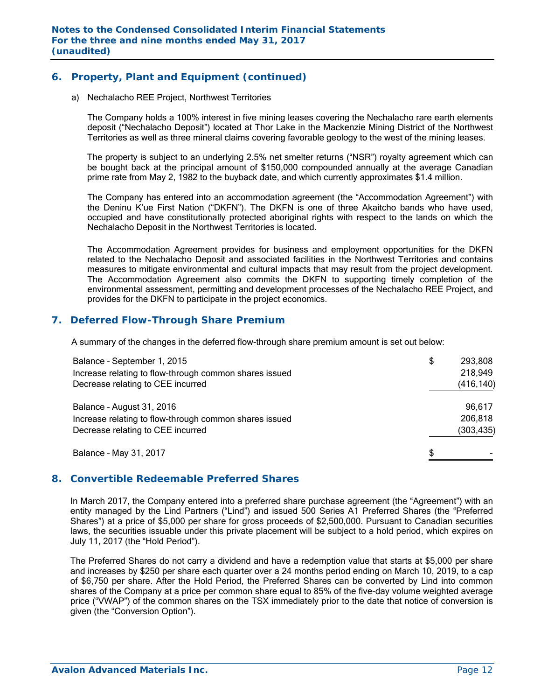## **6. Property, Plant and Equipment (continued)**

a) Nechalacho REE Project, Northwest Territories

The Company holds a 100% interest in five mining leases covering the Nechalacho rare earth elements deposit ("Nechalacho Deposit") located at Thor Lake in the Mackenzie Mining District of the Northwest Territories as well as three mineral claims covering favorable geology to the west of the mining leases.

The property is subject to an underlying 2.5% net smelter returns ("NSR") royalty agreement which can be bought back at the principal amount of \$150,000 compounded annually at the average Canadian prime rate from May 2, 1982 to the buyback date, and which currently approximates \$1.4 million.

The Company has entered into an accommodation agreement (the "Accommodation Agreement") with the Deninu K'ue First Nation ("DKFN"). The DKFN is one of three Akaitcho bands who have used, occupied and have constitutionally protected aboriginal rights with respect to the lands on which the Nechalacho Deposit in the Northwest Territories is located.

The Accommodation Agreement provides for business and employment opportunities for the DKFN related to the Nechalacho Deposit and associated facilities in the Northwest Territories and contains measures to mitigate environmental and cultural impacts that may result from the project development. The Accommodation Agreement also commits the DKFN to supporting timely completion of the environmental assessment, permitting and development processes of the Nechalacho REE Project, and provides for the DKFN to participate in the project economics.

## **7. Deferred Flow-Through Share Premium**

A summary of the changes in the deferred flow-through share premium amount is set out below:

| Balance - September 1, 2015<br>Increase relating to flow-through common shares issued<br>Decrease relating to CEE incurred | \$<br>293,808<br>218,949<br>(416, 140) |
|----------------------------------------------------------------------------------------------------------------------------|----------------------------------------|
| Balance - August 31, 2016<br>Increase relating to flow-through common shares issued<br>Decrease relating to CEE incurred   | 96,617<br>206,818<br>(303, 435)        |
| Balance - May 31, 2017                                                                                                     | \$                                     |

### **8. Convertible Redeemable Preferred Shares**

In March 2017, the Company entered into a preferred share purchase agreement (the "Agreement") with an entity managed by the Lind Partners ("Lind") and issued 500 Series A1 Preferred Shares (the "Preferred Shares") at a price of \$5,000 per share for gross proceeds of \$2,500,000. Pursuant to Canadian securities laws, the securities issuable under this private placement will be subject to a hold period, which expires on July 11, 2017 (the "Hold Period").

The Preferred Shares do not carry a dividend and have a redemption value that starts at \$5,000 per share and increases by \$250 per share each quarter over a 24 months period ending on March 10, 2019, to a cap of \$6,750 per share. After the Hold Period, the Preferred Shares can be converted by Lind into common shares of the Company at a price per common share equal to 85% of the five-day volume weighted average price ("VWAP") of the common shares on the TSX immediately prior to the date that notice of conversion is given (the "Conversion Option").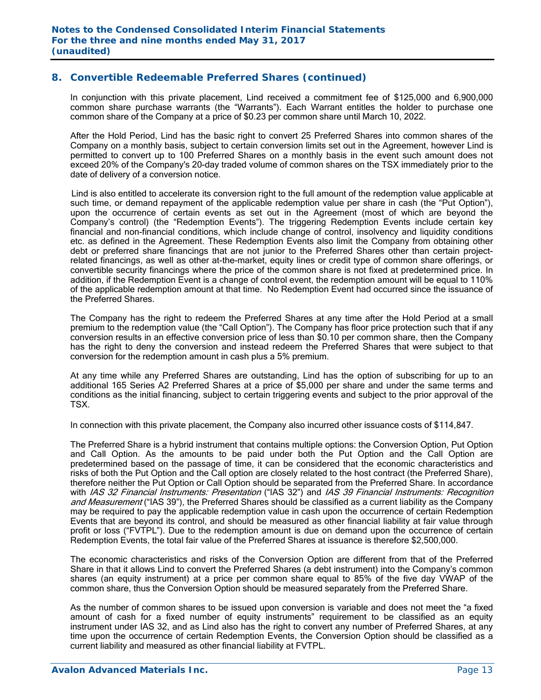## **8. Convertible Redeemable Preferred Shares (continued)**

In conjunction with this private placement, Lind received a commitment fee of \$125,000 and 6,900,000 common share purchase warrants (the "Warrants"). Each Warrant entitles the holder to purchase one common share of the Company at a price of \$0.23 per common share until March 10, 2022.

After the Hold Period, Lind has the basic right to convert 25 Preferred Shares into common shares of the Company on a monthly basis, subject to certain conversion limits set out in the Agreement, however Lind is permitted to convert up to 100 Preferred Shares on a monthly basis in the event such amount does not exceed 20% of the Company's 20-day traded volume of common shares on the TSX immediately prior to the date of delivery of a conversion notice.

 Lind is also entitled to accelerate its conversion right to the full amount of the redemption value applicable at such time, or demand repayment of the applicable redemption value per share in cash (the "Put Option"), upon the occurrence of certain events as set out in the Agreement (most of which are beyond the Company's control) (the "Redemption Events"). The triggering Redemption Events include certain key financial and non-financial conditions, which include change of control, insolvency and liquidity conditions etc. as defined in the Agreement. These Redemption Events also limit the Company from obtaining other debt or preferred share financings that are not junior to the Preferred Shares other than certain projectrelated financings, as well as other at-the-market, equity lines or credit type of common share offerings, or convertible security financings where the price of the common share is not fixed at predetermined price. In addition, if the Redemption Event is a change of control event, the redemption amount will be equal to 110% of the applicable redemption amount at that time. No Redemption Event had occurred since the issuance of the Preferred Shares.

The Company has the right to redeem the Preferred Shares at any time after the Hold Period at a small premium to the redemption value (the "Call Option"). The Company has floor price protection such that if any conversion results in an effective conversion price of less than \$0.10 per common share, then the Company has the right to deny the conversion and instead redeem the Preferred Shares that were subject to that conversion for the redemption amount in cash plus a 5% premium.

At any time while any Preferred Shares are outstanding, Lind has the option of subscribing for up to an additional 165 Series A2 Preferred Shares at a price of \$5,000 per share and under the same terms and conditions as the initial financing, subject to certain triggering events and subject to the prior approval of the TSX.

In connection with this private placement, the Company also incurred other issuance costs of \$114,847.

The Preferred Share is a hybrid instrument that contains multiple options: the Conversion Option, Put Option and Call Option. As the amounts to be paid under both the Put Option and the Call Option are predetermined based on the passage of time, it can be considered that the economic characteristics and risks of both the Put Option and the Call option are closely related to the host contract (the Preferred Share), therefore neither the Put Option or Call Option should be separated from the Preferred Share. In accordance with IAS 32 Financial Instruments: Presentation ("IAS 32") and IAS 39 Financial Instruments: Recognition and Measurement ("IAS 39"), the Preferred Shares should be classified as a current liability as the Company may be required to pay the applicable redemption value in cash upon the occurrence of certain Redemption Events that are beyond its control, and should be measured as other financial liability at fair value through profit or loss ("FVTPL"). Due to the redemption amount is due on demand upon the occurrence of certain Redemption Events, the total fair value of the Preferred Shares at issuance is therefore \$2,500,000.

The economic characteristics and risks of the Conversion Option are different from that of the Preferred Share in that it allows Lind to convert the Preferred Shares (a debt instrument) into the Company's common shares (an equity instrument) at a price per common share equal to 85% of the five day VWAP of the common share, thus the Conversion Option should be measured separately from the Preferred Share.

As the number of common shares to be issued upon conversion is variable and does not meet the "a fixed amount of cash for a fixed number of equity instruments" requirement to be classified as an equity instrument under IAS 32, and as Lind also has the right to convert any number of Preferred Shares, at any time upon the occurrence of certain Redemption Events, the Conversion Option should be classified as a current liability and measured as other financial liability at FVTPL.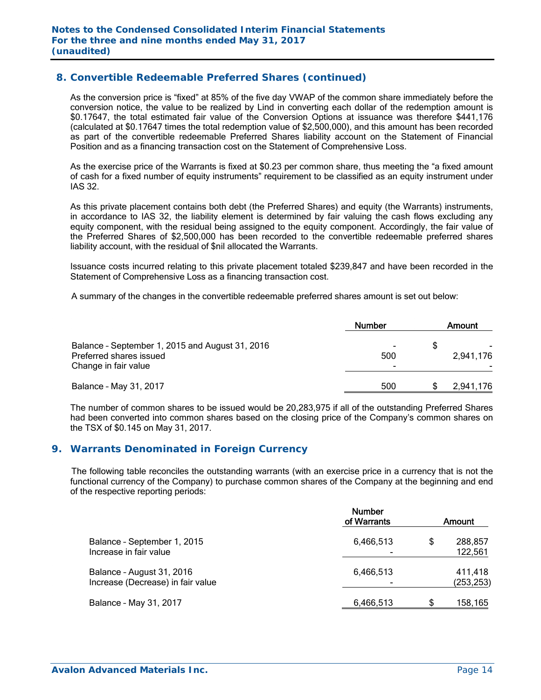## **8. Convertible Redeemable Preferred Shares (continued)**

As the conversion price is "fixed" at 85% of the five day VWAP of the common share immediately before the conversion notice, the value to be realized by Lind in converting each dollar of the redemption amount is \$0.17647, the total estimated fair value of the Conversion Options at issuance was therefore \$441,176 (calculated at \$0.17647 times the total redemption value of \$2,500,000), and this amount has been recorded as part of the convertible redeemable Preferred Shares liability account on the Statement of Financial Position and as a financing transaction cost on the Statement of Comprehensive Loss.

As the exercise price of the Warrants is fixed at \$0.23 per common share, thus meeting the "a fixed amount of cash for a fixed number of equity instruments" requirement to be classified as an equity instrument under IAS 32.

As this private placement contains both debt (the Preferred Shares) and equity (the Warrants) instruments, in accordance to IAS 32, the liability element is determined by fair valuing the cash flows excluding any equity component, with the residual being assigned to the equity component. Accordingly, the fair value of the Preferred Shares of \$2,500,000 has been recorded to the convertible redeemable preferred shares liability account, with the residual of \$nil allocated the Warrants.

Issuance costs incurred relating to this private placement totaled \$239,847 and have been recorded in the Statement of Comprehensive Loss as a financing transaction cost.

A summary of the changes in the convertible redeemable preferred shares amount is set out below:

|                                                                                                    | <b>Number</b> | Amount    |
|----------------------------------------------------------------------------------------------------|---------------|-----------|
| Balance - September 1, 2015 and August 31, 2016<br>Preferred shares issued<br>Change in fair value | 500<br>-      | 2,941,176 |
| Balance - May 31, 2017                                                                             | 500           | 2.941.176 |

The number of common shares to be issued would be 20,283,975 if all of the outstanding Preferred Shares had been converted into common shares based on the closing price of the Company's common shares on the TSX of \$0.145 on May 31, 2017.

### **9. Warrants Denominated in Foreign Currency**

The following table reconciles the outstanding warrants (with an exercise price in a currency that is not the functional currency of the Company) to purchase common shares of the Company at the beginning and end of the respective reporting periods:

|                                                                | <b>Number</b><br>of Warrants |   | Amount                |
|----------------------------------------------------------------|------------------------------|---|-----------------------|
| Balance - September 1, 2015<br>Increase in fair value          | 6,466,513                    | S | 288,857<br>122,561    |
| Balance - August 31, 2016<br>Increase (Decrease) in fair value | 6,466,513                    |   | 411,418<br>(253, 253) |
| Balance - May 31, 2017                                         | 6,466,513                    |   | 158,165               |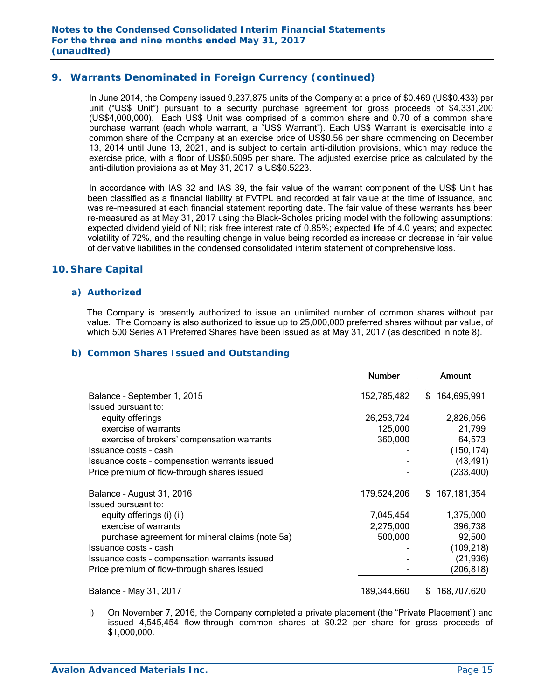## **9. Warrants Denominated in Foreign Currency (continued)**

In June 2014, the Company issued 9,237,875 units of the Company at a price of \$0.469 (US\$0.433) per unit ("US\$ Unit") pursuant to a security purchase agreement for gross proceeds of \$4,331,200 (US\$4,000,000). Each US\$ Unit was comprised of a common share and 0.70 of a common share purchase warrant (each whole warrant, a "US\$ Warrant"). Each US\$ Warrant is exercisable into a common share of the Company at an exercise price of US\$0.56 per share commencing on December 13, 2014 until June 13, 2021, and is subject to certain anti-dilution provisions, which may reduce the exercise price, with a floor of US\$0.5095 per share. The adjusted exercise price as calculated by the anti-dilution provisions as at May 31, 2017 is US\$0.5223.

In accordance with IAS 32 and IAS 39, the fair value of the warrant component of the US\$ Unit has been classified as a financial liability at FVTPL and recorded at fair value at the time of issuance, and was re-measured at each financial statement reporting date. The fair value of these warrants has been re-measured as at May 31, 2017 using the Black-Scholes pricing model with the following assumptions: expected dividend yield of Nil; risk free interest rate of 0.85%; expected life of 4.0 years; and expected volatility of 72%, and the resulting change in value being recorded as increase or decrease in fair value of derivative liabilities in the condensed consolidated interim statement of comprehensive loss.

## **10. Share Capital**

#### *a) Authorized*

The Company is presently authorized to issue an unlimited number of common shares without par value. The Company is also authorized to issue up to 25,000,000 preferred shares without par value, of which 500 Series A1 Preferred Shares have been issued as at May 31, 2017 (as described in note 8).

#### *b) Common Shares Issued and Outstanding*

|                                                    | <b>Number</b> | Amount            |
|----------------------------------------------------|---------------|-------------------|
| Balance - September 1, 2015<br>Issued pursuant to: | 152,785,482   | 164,695,991<br>S. |
| equity offerings                                   | 26,253,724    | 2,826,056         |
| exercise of warrants                               | 125,000       | 21,799            |
| exercise of brokers' compensation warrants         | 360,000       | 64,573            |
| Issuance costs - cash                              |               | (150, 174)        |
| Issuance costs - compensation warrants issued      |               | (43, 491)         |
| Price premium of flow-through shares issued        |               | (233, 400)        |
| Balance - August 31, 2016                          | 179,524,206   | \$167,181,354     |
| Issued pursuant to:<br>equity offerings (i) (ii)   | 7,045,454     | 1,375,000         |
| exercise of warrants                               | 2,275,000     | 396,738           |
| purchase agreement for mineral claims (note 5a)    | 500,000       | 92,500            |
| Issuance costs - cash                              |               | (109, 218)        |
| Issuance costs - compensation warrants issued      |               | (21, 936)         |
| Price premium of flow-through shares issued        |               | (206, 818)        |
| Balance - May 31, 2017                             | 189,344,660   | 168,707,620<br>S  |

i) On November 7, 2016, the Company completed a private placement (the "Private Placement") and issued 4,545,454 flow-through common shares at \$0.22 per share for gross proceeds of \$1,000,000.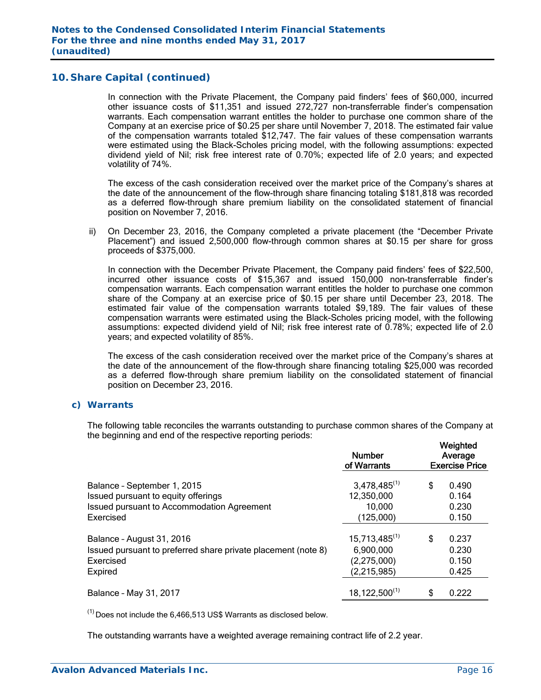In connection with the Private Placement, the Company paid finders' fees of \$60,000, incurred other issuance costs of \$11,351 and issued 272,727 non-transferrable finder's compensation warrants. Each compensation warrant entitles the holder to purchase one common share of the Company at an exercise price of \$0.25 per share until November 7, 2018. The estimated fair value of the compensation warrants totaled \$12,747. The fair values of these compensation warrants were estimated using the Black-Scholes pricing model, with the following assumptions: expected dividend yield of Nil; risk free interest rate of 0.70%; expected life of 2.0 years; and expected volatility of 74%.

The excess of the cash consideration received over the market price of the Company's shares at the date of the announcement of the flow-through share financing totaling \$181,818 was recorded as a deferred flow-through share premium liability on the consolidated statement of financial position on November 7, 2016.

ii) On December 23, 2016, the Company completed a private placement (the "December Private Placement") and issued 2,500,000 flow-through common shares at \$0.15 per share for gross proceeds of \$375,000.

In connection with the December Private Placement, the Company paid finders' fees of \$22,500, incurred other issuance costs of \$15,367 and issued 150,000 non-transferrable finder's compensation warrants. Each compensation warrant entitles the holder to purchase one common share of the Company at an exercise price of \$0.15 per share until December 23, 2018. The estimated fair value of the compensation warrants totaled \$9,189. The fair values of these compensation warrants were estimated using the Black-Scholes pricing model, with the following assumptions: expected dividend yield of Nil; risk free interest rate of 0.78%; expected life of 2.0 years; and expected volatility of 85%.

The excess of the cash consideration received over the market price of the Company's shares at the date of the announcement of the flow-through share financing totaling \$25,000 was recorded as a deferred flow-through share premium liability on the consolidated statement of financial position on December 23, 2016.

### *c) Warrants*

The following table reconciles the warrants outstanding to purchase common shares of the Company at the beginning and end of the respective reporting periods:

|                                                                                                                               | <b>Number</b><br>of Warrants                                  | Weighted<br>Average<br><b>Exercise Price</b> |                                  |  |  |
|-------------------------------------------------------------------------------------------------------------------------------|---------------------------------------------------------------|----------------------------------------------|----------------------------------|--|--|
| Balance - September 1, 2015<br>Issued pursuant to equity offerings<br>Issued pursuant to Accommodation Agreement<br>Exercised | $3,478,485^{(1)}$<br>12,350,000<br>10,000<br>(125,000)        | \$                                           | 0.490<br>0.164<br>0.230<br>0.150 |  |  |
| Balance - August 31, 2016<br>Issued pursuant to preferred share private placement (note 8)<br>Exercised<br>Expired            | $15,713,485^{(1)}$<br>6,900,000<br>(2,275,000)<br>(2,215,985) | \$                                           | 0.237<br>0.230<br>0.150<br>0.425 |  |  |
| Balance - May 31, 2017                                                                                                        | $18,122,500^{(1)}$                                            | \$                                           | 0.222                            |  |  |

 $<sup>(1)</sup>$  Does not include the 6,466,513 US\$ Warrants as disclosed below.</sup>

The outstanding warrants have a weighted average remaining contract life of 2.2 year.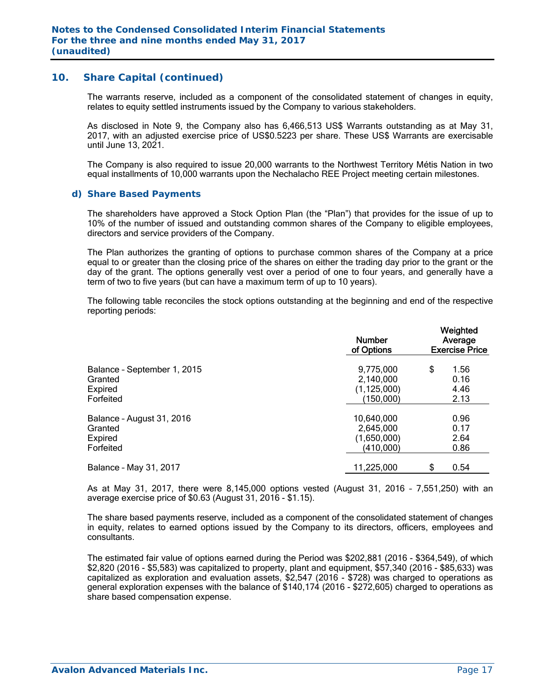The warrants reserve, included as a component of the consolidated statement of changes in equity, relates to equity settled instruments issued by the Company to various stakeholders.

As disclosed in Note 9, the Company also has 6,466,513 US\$ Warrants outstanding as at May 31, 2017, with an adjusted exercise price of US\$0.5223 per share. These US\$ Warrants are exercisable until June 13, 2021.

The Company is also required to issue 20,000 warrants to the Northwest Territory Métis Nation in two equal installments of 10,000 warrants upon the Nechalacho REE Project meeting certain milestones.

#### *d) Share Based Payments*

The shareholders have approved a Stock Option Plan (the "Plan") that provides for the issue of up to 10% of the number of issued and outstanding common shares of the Company to eligible employees, directors and service providers of the Company.

The Plan authorizes the granting of options to purchase common shares of the Company at a price equal to or greater than the closing price of the shares on either the trading day prior to the grant or the day of the grant. The options generally vest over a period of one to four years, and generally have a term of two to five years (but can have a maximum term of up to 10 years).

The following table reconciles the stock options outstanding at the beginning and end of the respective reporting periods:

|                                                                | <b>Number</b><br>of Options                          | Weighted<br>Average<br><b>Exercise Price</b> |  |  |  |
|----------------------------------------------------------------|------------------------------------------------------|----------------------------------------------|--|--|--|
| Balance - September 1, 2015<br>Granted<br>Expired<br>Forfeited | 9,775,000<br>2,140,000<br>(1, 125, 000)<br>(150,000) | \$<br>1.56<br>0.16<br>4.46<br>2.13           |  |  |  |
| Balance - August 31, 2016<br>Granted<br>Expired<br>Forfeited   | 10,640,000<br>2,645,000<br>(1,650,000)<br>(410,000)  | 0.96<br>0.17<br>2.64<br>0.86                 |  |  |  |
| Balance - May 31, 2017                                         | 11,225,000                                           | \$<br>0.54                                   |  |  |  |

As at May 31, 2017, there were 8,145,000 options vested (August 31, 2016 – 7,551,250) with an average exercise price of \$0.63 (August 31, 2016 - \$1.15).

The share based payments reserve, included as a component of the consolidated statement of changes in equity, relates to earned options issued by the Company to its directors, officers, employees and consultants.

The estimated fair value of options earned during the Period was \$202,881 (2016 - \$364,549), of which \$2,820 (2016 - \$5,583) was capitalized to property, plant and equipment, \$57,340 (2016 - \$85,633) was capitalized as exploration and evaluation assets, \$2,547 (2016 - \$728) was charged to operations as general exploration expenses with the balance of \$140,174 (2016 - \$272,605) charged to operations as share based compensation expense.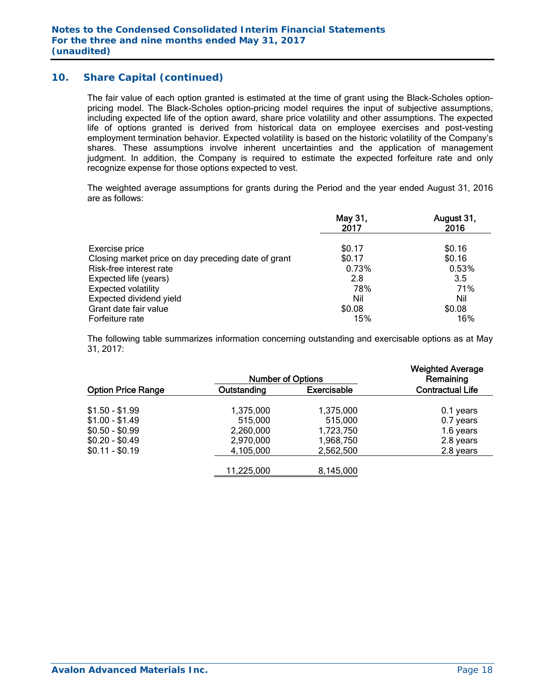The fair value of each option granted is estimated at the time of grant using the Black-Scholes optionpricing model. The Black-Scholes option-pricing model requires the input of subjective assumptions, including expected life of the option award, share price volatility and other assumptions. The expected life of options granted is derived from historical data on employee exercises and post-vesting employment termination behavior. Expected volatility is based on the historic volatility of the Company's shares. These assumptions involve inherent uncertainties and the application of management judgment. In addition, the Company is required to estimate the expected forfeiture rate and only recognize expense for those options expected to vest.

The weighted average assumptions for grants during the Period and the year ended August 31, 2016 are as follows:

|                                                     | May 31,<br>2017 | August 31,<br>2016 |
|-----------------------------------------------------|-----------------|--------------------|
| Exercise price                                      | \$0.17          | \$0.16             |
| Closing market price on day preceding date of grant | \$0.17          | \$0.16             |
| Risk-free interest rate                             | 0.73%           | 0.53%              |
| Expected life (years)                               | 2.8             | 3.5                |
| <b>Expected volatility</b>                          | 78%             | 71%                |
| Expected dividend yield                             | Nil             | Nil                |
| Grant date fair value                               | \$0.08          | \$0.08             |
| Forfeiture rate                                     | 15%             | 16%                |

The following table summarizes information concerning outstanding and exercisable options as at May 31, 2017:

|                           | <b>Number of Options</b> |                    | <b>Weighted Average</b><br>Remaining |
|---------------------------|--------------------------|--------------------|--------------------------------------|
| <b>Option Price Range</b> | Outstanding              | <b>Exercisable</b> | <b>Contractual Life</b>              |
| $$1.50 - $1.99$           | 1,375,000                | 1,375,000          | 0.1 years                            |
| $$1.00 - $1.49$           | 515,000                  | 515,000            | 0.7 years                            |
| $$0.50 - $0.99$           | 2,260,000                | 1,723,750          | 1.6 years                            |
| $$0.20 - $0.49$           | 2,970,000                | 1,968,750          | 2.8 years                            |
| $$0.11 - $0.19$           | 4,105,000                | 2,562,500          | 2.8 years                            |
|                           | 11,225,000               | 8,145,000          |                                      |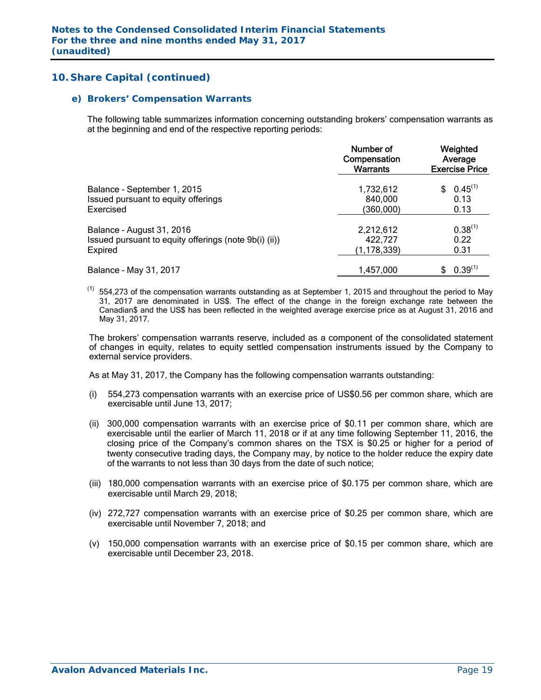#### *e) Brokers' Compensation Warrants*

The following table summarizes information concerning outstanding brokers' compensation warrants as at the beginning and end of the respective reporting periods:

|                                                       | Number of<br>Compensation<br><b>Warrants</b> | Weighted<br>Average<br><b>Exercise Price</b> |  |  |
|-------------------------------------------------------|----------------------------------------------|----------------------------------------------|--|--|
| Balance - September 1, 2015                           | 1,732,612                                    | $0.45^{(1)}$                                 |  |  |
| Issued pursuant to equity offerings                   | 840,000                                      | 0.13                                         |  |  |
| Exercised                                             | (360,000)                                    | 0.13                                         |  |  |
| Balance - August 31, 2016                             | 2,212,612                                    | $0.38^{(1)}$                                 |  |  |
| Issued pursuant to equity offerings (note 9b(i) (ii)) | 422,727                                      | 0.22                                         |  |  |
| Expired                                               | (1,178,339)                                  | 0.31                                         |  |  |
| Balance - May 31, 2017                                | 1,457,000                                    | $0.39^{(1)}$                                 |  |  |

 $(1)$  554,273 of the compensation warrants outstanding as at September 1, 2015 and throughout the period to May 31, 2017 are denominated in US\$. The effect of the change in the foreign exchange rate between the Canadian\$ and the US\$ has been reflected in the weighted average exercise price as at August 31, 2016 and May 31, 2017.

The brokers' compensation warrants reserve, included as a component of the consolidated statement of changes in equity, relates to equity settled compensation instruments issued by the Company to external service providers.

As at May 31, 2017, the Company has the following compensation warrants outstanding:

- (i) 554,273 compensation warrants with an exercise price of US\$0.56 per common share, which are exercisable until June 13, 2017;
- (ii) 300,000 compensation warrants with an exercise price of \$0.11 per common share, which are exercisable until the earlier of March 11, 2018 or if at any time following September 11, 2016, the closing price of the Company's common shares on the TSX is \$0.25 or higher for a period of twenty consecutive trading days, the Company may, by notice to the holder reduce the expiry date of the warrants to not less than 30 days from the date of such notice;
- (iii) 180,000 compensation warrants with an exercise price of \$0.175 per common share, which are exercisable until March 29, 2018;
- (iv) 272,727 compensation warrants with an exercise price of \$0.25 per common share, which are exercisable until November 7, 2018; and
- (v) 150,000 compensation warrants with an exercise price of \$0.15 per common share, which are exercisable until December 23, 2018.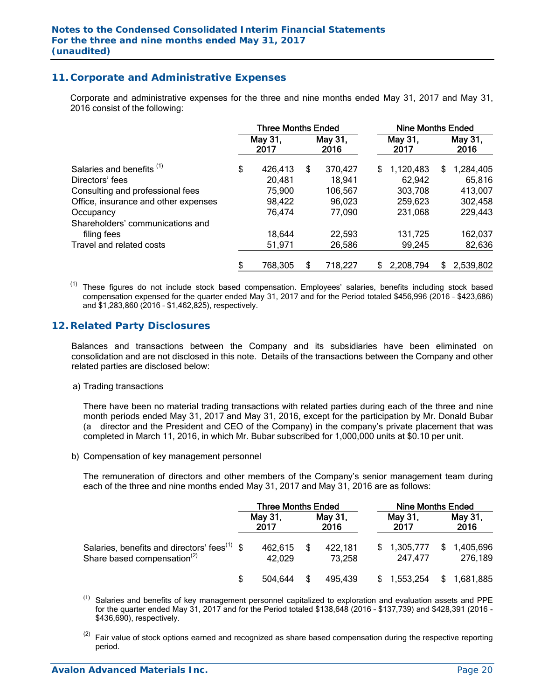## **11. Corporate and Administrative Expenses**

 Corporate and administrative expenses for the three and nine months ended May 31, 2017 and May 31, 2016 consist of the following:

|                                      | <b>Three Months Ended</b> |                 |    | Nine Months Ended |     |                 |    |                 |
|--------------------------------------|---------------------------|-----------------|----|-------------------|-----|-----------------|----|-----------------|
|                                      |                           | May 31,<br>2017 |    | May 31,<br>2016   |     | May 31,<br>2017 |    | May 31,<br>2016 |
| Salaries and benefits <sup>(1)</sup> | \$                        | 426,413         | \$ | 370,427           | \$. | 1,120,483       | S  | 1,284,405       |
| Directors' fees                      |                           | 20,481          |    | 18,941            |     | 62,942          |    | 65,816          |
| Consulting and professional fees     |                           | 75,900          |    | 106,567           |     | 303,708         |    | 413,007         |
| Office, insurance and other expenses |                           | 98,422          |    | 96,023            |     | 259,623         |    | 302,458         |
| Occupancy                            |                           | 76,474          |    | 77,090            |     | 231,068         |    | 229,443         |
| Shareholders' communications and     |                           |                 |    |                   |     |                 |    |                 |
| filing fees                          |                           | 18,644          |    | 22,593            |     | 131,725         |    | 162,037         |
| Travel and related costs             |                           | 51,971          |    | 26,586            |     | 99,245          |    | 82,636          |
|                                      | S                         | 768,305         | S  | 718,227           | \$. | 2,208,794       | \$ | 2,539,802       |

These figures do not include stock based compensation. Employees' salaries, benefits including stock based compensation expensed for the quarter ended May 31, 2017 and for the Period totaled \$456,996 (2016 – \$423,686) and \$1,283,860 (2016 – \$1,462,825), respectively.

### **12. Related Party Disclosures**

Balances and transactions between the Company and its subsidiaries have been eliminated on consolidation and are not disclosed in this note. Details of the transactions between the Company and other related parties are disclosed below:

a) Trading transactions

There have been no material trading transactions with related parties during each of the three and nine month periods ended May 31, 2017 and May 31, 2016, except for the participation by Mr. Donald Bubar (a director and the President and CEO of the Company) in the company's private placement that was completed in March 11, 2016, in which Mr. Bubar subscribed for 1,000,000 units at \$0.10 per unit.

b) Compensation of key management personnel

The remuneration of directors and other members of the Company's senior management team during each of the three and nine months ended May 31, 2017 and May 31, 2016 are as follows:

|                                                                                                     |    | <b>Three Months Ended</b> |  |                   | <b>Nine Months Ended</b> |                      |     |                      |
|-----------------------------------------------------------------------------------------------------|----|---------------------------|--|-------------------|--------------------------|----------------------|-----|----------------------|
|                                                                                                     |    | May 31,<br>2017           |  | May 31,<br>2016   |                          | May 31,<br>2017      |     | May 31,<br>2016      |
| Salaries, benefits and directors' fees <sup>(1)</sup> \$<br>Share based compensation <sup>(2)</sup> |    | 462,615<br>42,029         |  | 422,181<br>73,258 | \$.                      | 1,305,777<br>247,477 | \$. | 1,405,696<br>276,189 |
|                                                                                                     | ß. | 504.644                   |  | 495,439           |                          | 1,553,254            |     | 1,681,885            |

 $(1)$ Salaries and benefits of key management personnel capitalized to exploration and evaluation assets and PPE for the quarter ended May 31, 2017 and for the Period totaled \$138,648 (2016 – \$137,739) and \$428,391 (2016 - \$436,690), respectively.

 $(2)$  Fair value of stock options earned and recognized as share based compensation during the respective reporting period.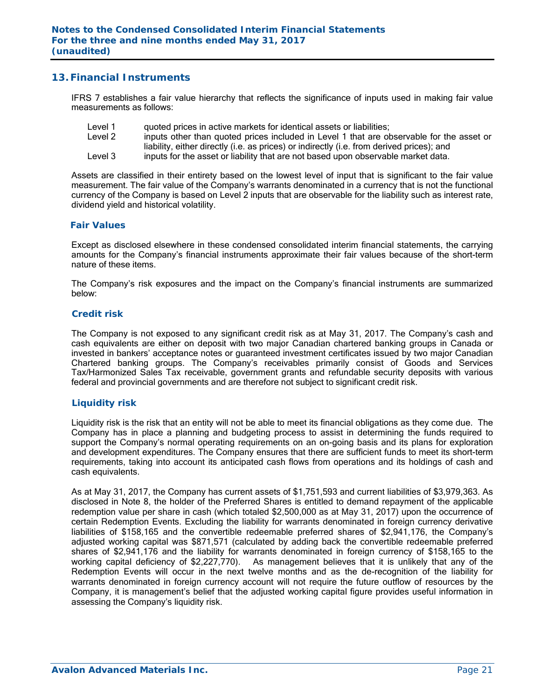## **13. Financial Instruments**

IFRS 7 establishes a fair value hierarchy that reflects the significance of inputs used in making fair value measurements as follows:

- Level 1 quoted prices in active markets for identical assets or liabilities;
- Level 2 inputs other than quoted prices included in Level 1 that are observable for the asset or liability, either directly (i.e. as prices) or indirectly (i.e. from derived prices); and
- Level 3 inputs for the asset or liability that are not based upon observable market data.

Assets are classified in their entirety based on the lowest level of input that is significant to the fair value measurement. The fair value of the Company's warrants denominated in a currency that is not the functional currency of the Company is based on Level 2 inputs that are observable for the liability such as interest rate, dividend yield and historical volatility.

#### *Fair Values*

Except as disclosed elsewhere in these condensed consolidated interim financial statements, the carrying amounts for the Company's financial instruments approximate their fair values because of the short-term nature of these items.

The Company's risk exposures and the impact on the Company's financial instruments are summarized below:

#### *Credit risk*

The Company is not exposed to any significant credit risk as at May 31, 2017. The Company's cash and cash equivalents are either on deposit with two major Canadian chartered banking groups in Canada or invested in bankers' acceptance notes or guaranteed investment certificates issued by two major Canadian Chartered banking groups. The Company's receivables primarily consist of Goods and Services Tax/Harmonized Sales Tax receivable, government grants and refundable security deposits with various federal and provincial governments and are therefore not subject to significant credit risk.

#### *Liquidity risk*

Liquidity risk is the risk that an entity will not be able to meet its financial obligations as they come due. The Company has in place a planning and budgeting process to assist in determining the funds required to support the Company's normal operating requirements on an on-going basis and its plans for exploration and development expenditures. The Company ensures that there are sufficient funds to meet its short-term requirements, taking into account its anticipated cash flows from operations and its holdings of cash and cash equivalents.

As at May 31, 2017, the Company has current assets of \$1,751,593 and current liabilities of \$3,979,363. As disclosed in Note 8, the holder of the Preferred Shares is entitled to demand repayment of the applicable redemption value per share in cash (which totaled \$2,500,000 as at May 31, 2017) upon the occurrence of certain Redemption Events. Excluding the liability for warrants denominated in foreign currency derivative liabilities of \$158,165 and the convertible redeemable preferred shares of \$2,941,176, the Company's adjusted working capital was \$871,571 (calculated by adding back the convertible redeemable preferred shares of \$2,941,176 and the liability for warrants denominated in foreign currency of \$158,165 to the working capital deficiency of \$2,227,770). As management believes that it is unlikely that any of the Redemption Events will occur in the next twelve months and as the de-recognition of the liability for warrants denominated in foreign currency account will not require the future outflow of resources by the Company, it is management's belief that the adjusted working capital figure provides useful information in assessing the Company's liquidity risk.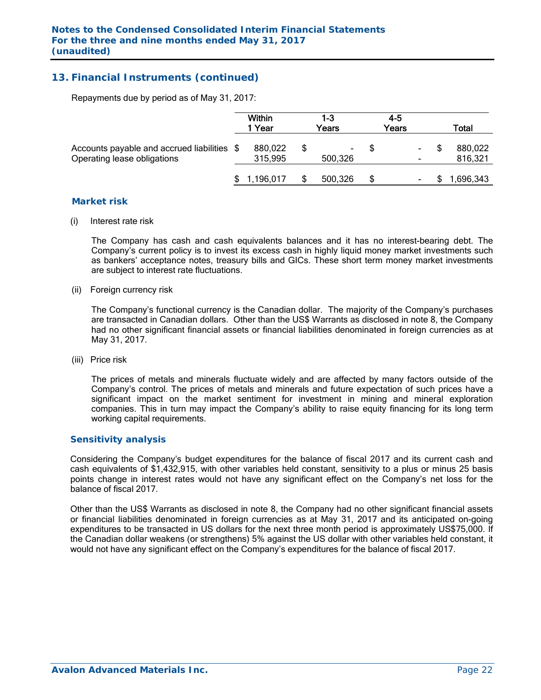## **13. Financial Instruments (continued)**

Repayments due by period as of May 31, 2017:

|                                                                            | <b>Within</b><br>1 Year | 1-3<br>Years | $4 - 5$<br>Years | Total              |
|----------------------------------------------------------------------------|-------------------------|--------------|------------------|--------------------|
| Accounts payable and accrued liabilities \$<br>Operating lease obligations | 880,022<br>315,995      | ۰<br>500,326 | ۰.               | 880,022<br>816,321 |
|                                                                            | 1,196,017               | 500,326      | S                | 1,696,343          |

#### *Market risk*

(i) Interest rate risk

 The Company has cash and cash equivalents balances and it has no interest-bearing debt. The Company's current policy is to invest its excess cash in highly liquid money market investments such as bankers' acceptance notes, treasury bills and GICs. These short term money market investments are subject to interest rate fluctuations.

(ii) Foreign currency risk

 The Company's functional currency is the Canadian dollar. The majority of the Company's purchases are transacted in Canadian dollars. Other than the US\$ Warrants as disclosed in note 8, the Company had no other significant financial assets or financial liabilities denominated in foreign currencies as at May 31, 2017.

(iii) Price risk

 The prices of metals and minerals fluctuate widely and are affected by many factors outside of the Company's control. The prices of metals and minerals and future expectation of such prices have a significant impact on the market sentiment for investment in mining and mineral exploration companies. This in turn may impact the Company's ability to raise equity financing for its long term working capital requirements.

#### *Sensitivity analysis*

 Considering the Company's budget expenditures for the balance of fiscal 2017 and its current cash and cash equivalents of \$1,432,915, with other variables held constant, sensitivity to a plus or minus 25 basis points change in interest rates would not have any significant effect on the Company's net loss for the balance of fiscal 2017.

Other than the US\$ Warrants as disclosed in note 8, the Company had no other significant financial assets or financial liabilities denominated in foreign currencies as at May 31, 2017 and its anticipated on-going expenditures to be transacted in US dollars for the next three month period is approximately US\$75,000. If the Canadian dollar weakens (or strengthens) 5% against the US dollar with other variables held constant, it would not have any significant effect on the Company's expenditures for the balance of fiscal 2017.